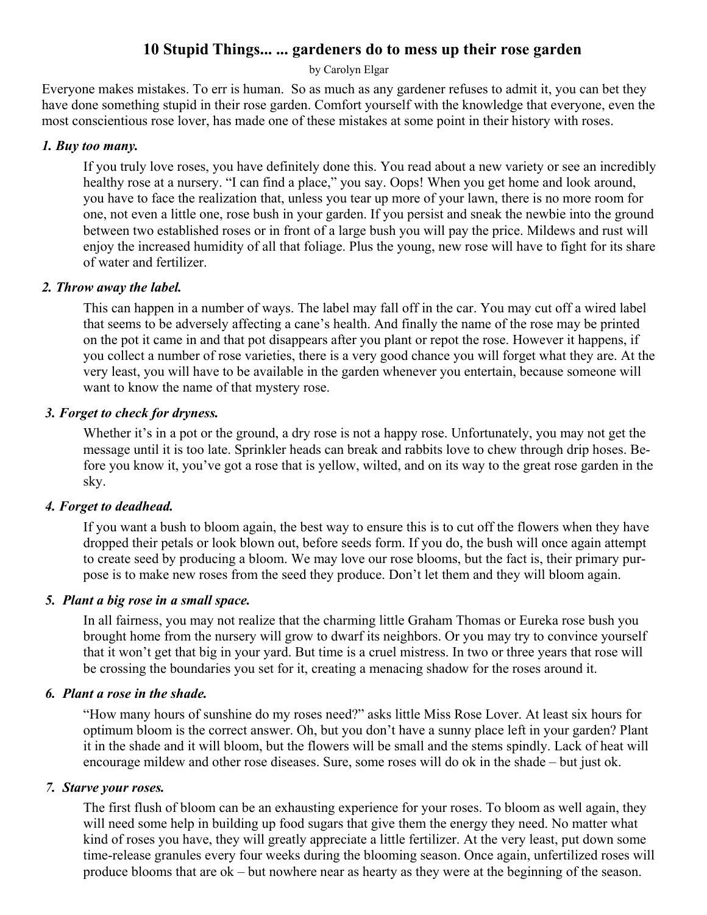# **10 Stupid Things... ... gardeners do to mess up their rose garden**

by Carolyn Elgar

Everyone makes mistakes. To err is human. So as much as any gardener refuses to admit it, you can bet they have done something stupid in their rose garden. Comfort yourself with the knowledge that everyone, even the most conscientious rose lover, has made one of these mistakes at some point in their history with roses.

# *1. Buy too many.*

If you truly love roses, you have definitely done this. You read about a new variety or see an incredibly healthy rose at a nursery. "I can find a place," you say. Oops! When you get home and look around, you have to face the realization that, unless you tear up more of your lawn, there is no more room for one, not even a little one, rose bush in your garden. If you persist and sneak the newbie into the ground between two established roses or in front of a large bush you will pay the price. Mildews and rust will enjoy the increased humidity of all that foliage. Plus the young, new rose will have to fight for its share of water and fertilizer.

## *2. Throw away the label.*

This can happen in a number of ways. The label may fall off in the car. You may cut off a wired label that seems to be adversely affecting a cane's health. And finally the name of the rose may be printed on the pot it came in and that pot disappears after you plant or repot the rose. However it happens, if you collect a number of rose varieties, there is a very good chance you will forget what they are. At the very least, you will have to be available in the garden whenever you entertain, because someone will want to know the name of that mystery rose.

## *3. Forget to check for dryness.*

Whether it's in a pot or the ground, a dry rose is not a happy rose. Unfortunately, you may not get the message until it is too late. Sprinkler heads can break and rabbits love to chew through drip hoses. Before you know it, you've got a rose that is yellow, wilted, and on its way to the great rose garden in the sky.

# *4. Forget to deadhead.*

If you want a bush to bloom again, the best way to ensure this is to cut off the flowers when they have dropped their petals or look blown out, before seeds form. If you do, the bush will once again attempt to create seed by producing a bloom. We may love our rose blooms, but the fact is, their primary purpose is to make new roses from the seed they produce. Don't let them and they will bloom again.

## *5. Plant a big rose in a small space.*

In all fairness, you may not realize that the charming little Graham Thomas or Eureka rose bush you brought home from the nursery will grow to dwarf its neighbors. Or you may try to convince yourself that it won't get that big in your yard. But time is a cruel mistress. In two or three years that rose will be crossing the boundaries you set for it, creating a menacing shadow for the roses around it.

## *6. Plant a rose in the shade.*

"How many hours of sunshine do my roses need?" asks little Miss Rose Lover. At least six hours for optimum bloom is the correct answer. Oh, but you don't have a sunny place left in your garden? Plant it in the shade and it will bloom, but the flowers will be small and the stems spindly. Lack of heat will encourage mildew and other rose diseases. Sure, some roses will do ok in the shade – but just ok.

## *7. Starve your roses.*

The first flush of bloom can be an exhausting experience for your roses. To bloom as well again, they will need some help in building up food sugars that give them the energy they need. No matter what kind of roses you have, they will greatly appreciate a little fertilizer. At the very least, put down some time-release granules every four weeks during the blooming season. Once again, unfertilized roses will produce blooms that are ok – but nowhere near as hearty as they were at the beginning of the season.